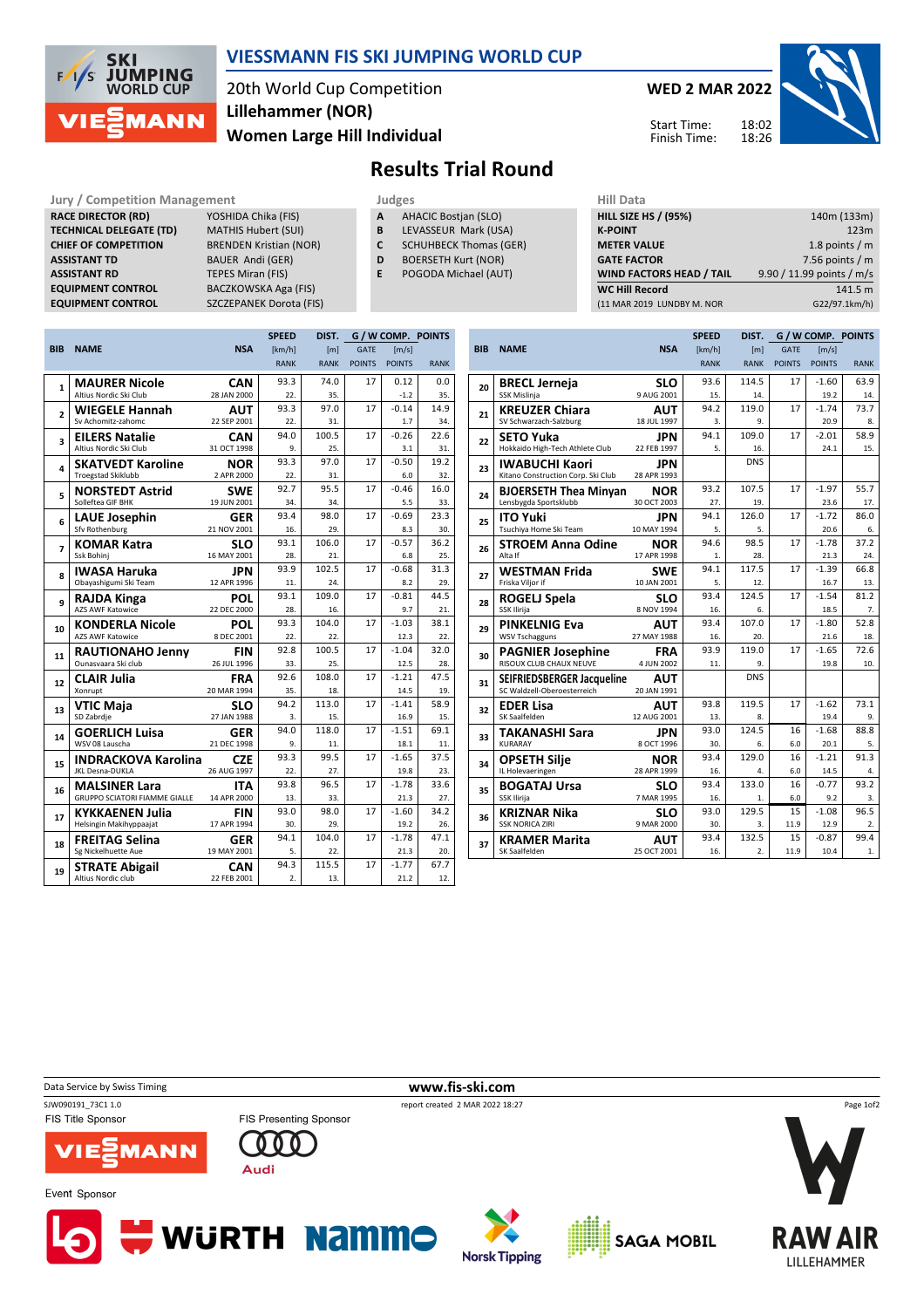

## VIESSMANN FIS SKI JUMPING WORLD CUP

20th World Cup Competition Women Large Hill Individual Lillehammer (NOR)

WED 2 MAR 2022

Start Time: Finish Time:



## Results Trial Round

Jury / Competition Management The Ludges Theorem Hill Data RACE DIRECTOR (RD) **TECHNICAL DELEGATE (TD)** CHIEF OF COMPETITION BRENDEN Kristian (NOR) **ASSISTANT TD ASSISTANT RD EQUIPMENT CONTROL** EQUIPMENT CONTROL SZCZEPANEK Dorota (FIS)

| nagement                     |
|------------------------------|
| YOSHIDA Chika (FIS)          |
| <b>MATHIS Hubert (SUI)</b>   |
| <b>BRENDEN Kristian (NOI</b> |
| <b>BAUER Andi (GER)</b>      |
| <b>TEPES Miran (FIS)</b>     |
| BACZKOWSKA Aga (FIS)         |
| CZCZEDANIEK Dorota (E        |

- A AHACIC Bostjan (SLO)
- **B** LEVASSEUR Mark (USA)<br>**C** SCHUHBECK Thomas (GE
- SCHUHBECK Thomas (GER)
- D BOERSETH Kurt (NOR)
- E POGODA Michael (AUT)

| <b>HILL SIZE HS / (95%)</b>     | 140m (133m)               |
|---------------------------------|---------------------------|
| <b>K-POINT</b>                  | 123m                      |
| <b>METER VALUE</b>              | 1.8 points $/m$           |
| <b>GATE FACTOR</b>              | 7.56 points $/m$          |
| <b>WIND FACTORS HEAD / TAIL</b> | 9.90 / 11.99 points / m/s |
| <b>WC Hill Record</b>           | 141.5 m                   |
| (11 MAR 2019 LUNDBY M. NOR      | G22/97.1km/h)             |
|                                 |                           |

|                          |                                        |                           | <b>SPEED</b> | DIST.            |               |                | G / W COMP. POINTS |
|--------------------------|----------------------------------------|---------------------------|--------------|------------------|---------------|----------------|--------------------|
| <b>BIB</b>               | <b>NAME</b>                            | <b>NSA</b>                | [km/h]       | [ <sub>m</sub> ] | GATE          | [m/s]          |                    |
|                          |                                        |                           | <b>RANK</b>  | <b>RANK</b>      | <b>POINTS</b> | <b>POINTS</b>  | <b>RANK</b>        |
| 1                        | <b>MAURER Nicole</b>                   | <b>CAN</b>                | 93.3         | 74.0             | 17            | 0.12           | 0.0                |
|                          | Altius Nordic Ski Club                 | 28 JAN 2000               | 22.          | 35.              |               | $-1.2$         | 35.                |
| $\overline{2}$           | <b>WIEGELE Hannah</b>                  | <b>AUT</b>                | 93.3         | 97.0             | 17            | $-0.14$        | 14.9               |
|                          | Sv Achomitz-zahomc                     | 22 SEP 2001               | 22.          | 31.              |               | 1.7            | 34.                |
| 3                        | <b>EILERS Natalie</b>                  | <b>CAN</b>                | 94.0         | 100.5            | 17            | $-0.26$        | 22.6               |
|                          | Altius Nordic Ski Club                 | 31 OCT 1998               | 9.           | 25.              |               | 3.1            | 31.                |
| 4                        | <b>SKATVEDT Karoline</b>               | <b>NOR</b>                | 93.3         | 97.0             | 17            | $-0.50$        | 19.2               |
|                          | <b>Troegstad Skiklubb</b>              | 2 APR 2000                | 22.          | 31.              |               | 6.0            | 32.                |
| 5                        | <b>NORSTEDT Astrid</b>                 | <b>SWE</b>                | 92.7         | 95.5             | 17            | $-0.46$        | 16.0               |
|                          | Solleftea GIF BHK                      | 19 JUN 2001               | 34.          | 34.              |               | 5.5            | 33.                |
| 6                        | <b>LAUE Josephin</b>                   | <b>GER</b>                | 93.4         | 98.0             | 17            | $-0.69$        | 23.3               |
|                          | <b>Sfv Rothenburg</b>                  | 21 NOV 2001               | 16.          | 29.              |               | 8.3            | 30.                |
| $\overline{\phantom{a}}$ | <b>KOMAR Katra</b>                     | SLO                       | 93.1         | 106.0            | 17            | $-0.57$        | 36.2               |
|                          | Ssk Bohinj                             | 16 MAY 2001               | 28.          | 21.              |               | 6.8            | 25.                |
| 8                        | <b>IWASA Haruka</b>                    | <b>JPN</b><br>12 APR 1996 | 93.9         | 102.5            | 17            | $-0.68$<br>8.2 | 31.3<br>29.        |
|                          | Obayashigumi Ski Team                  |                           | 11.<br>93.1  | 24.<br>109.0     | 17            | $-0.81$        | 44.5               |
| 9                        | <b>RAJDA Kinga</b><br>AZS AWF Katowice | <b>POL</b><br>22 DEC 2000 | 28.          | 16.              |               | 9.7            | 21.                |
|                          | <b>KONDERLA Nicole</b>                 | <b>POL</b>                | 93.3         | 104.0            | 17            | $-1.03$        | 38.1               |
| 10                       | <b>AZS AWF Katowice</b>                | 8 DEC 2001                | 22.          | 22.              |               | 12.3           | 22.                |
|                          | <b>RAUTIONAHO Jenny</b>                | FIN                       | 92.8         | 100.5            | 17            | $-1.04$        | 32.0               |
| 11                       | Ounasyaara Ski club                    | 26 JUL 1996               | 33.          | 25.              |               | 12.5           | 28.                |
|                          | <b>CLAIR Julia</b>                     | FRA                       | 92.6         | 108.0            | 17            | $-1.21$        | 47.5               |
| 12                       | Xonrupt                                | 20 MAR 1994               | 35.          | 18.              |               | 14.5           | 19.                |
|                          | <b>VTIC Maja</b>                       | SLO                       | 94.2         | 113.0            | 17            | $-1.41$        | 58.9               |
| 13                       | SD Zabrdje                             | 27 JAN 1988               | 3.           | 15.              |               | 16.9           | 15.                |
| 14                       | <b>GOERLICH Luisa</b>                  | <b>GER</b>                | 94.0         | 118.0            | 17            | $-1.51$        | 69.1               |
|                          | WSV 08 Lauscha                         | 21 DEC 1998               | 9.           | 11.              |               | 18.1           | 11.                |
| 15                       | <b>INDRACKOVA Karolina</b>             | <b>CZE</b>                | 93.3         | 99.5             | 17            | $-1.65$        | 37.5               |
|                          | JKL Desna-DUKLA                        | 26 AUG 1997               | 22.          | 27.              |               | 19.8           | 23.                |
| 16                       | <b>MALSINER Lara</b>                   | ITA                       | 93.8         | 96.5             | 17            | $-1.78$        | 33.6               |
|                          | GRUPPO SCIATORI FIAMME GIALLE          | 14 APR 2000               | 13.          | 33.              |               | 21.3           | 27.                |
| 17                       | <b>KYKKAENEN Julia</b>                 | <b>FIN</b>                | 93.0         | 98.0             | 17            | $-1.60$        | 34.2               |
|                          | Helsingin Makihyppaajat                | 17 APR 1994               | 30.          | 29.              |               | 19.2           | 26.                |
| 18                       | FREITAG Selina                         | GER                       | 94.1         | 104.0            | 17            | $-1.78$        | 47.1               |
|                          | Sg Nickelhuette Aue                    | 19 MAY 2001               | 5.           | 22.              |               | 21.3           | 20.                |
| 19                       | <b>STRATE Abigail</b>                  | <b>CAN</b>                | 94.3         | 115.5            | 17            | $-1.77$        | 67.7               |
|                          | Altius Nordic club                     | 22 FEB 2001               | 2.           | 13.              |               | 21.2           | 12.                |

|            |                                                                  |                           | <b>SPEED</b> | DIST.       |               | G / W COMP. POINTS |             |
|------------|------------------------------------------------------------------|---------------------------|--------------|-------------|---------------|--------------------|-------------|
| <b>BIB</b> | <b>NAME</b>                                                      | <b>NSA</b>                | [km/h]       | [ml]        | <b>GATE</b>   | [m/s]              |             |
|            |                                                                  |                           | <b>RANK</b>  | <b>RANK</b> | <b>POINTS</b> | <b>POINTS</b>      | <b>RANK</b> |
|            | <b>BRECL Jerneja</b>                                             | <b>SLO</b>                | 93.6         | 114.5       | 17            | $-1.60$            | 63.9        |
| 20         | SSK Mislinja                                                     | 9 AUG 2001                | 15.          | 14.         |               | 19.2               | 14.         |
| 21         | <b>KREUZER Chiara</b>                                            | <b>AUT</b>                | 94.2         | 119.0       | 17            | $-1.74$            | 73.7        |
|            | SV Schwarzach-Salzburg                                           | 18 JUL 1997               | 3.           | 9.          |               | 20.9               | 8.          |
| 22         | <b>SETO Yuka</b>                                                 | <b>JPN</b>                | 94.1         | 109.0       | 17            | $-2.01$            | 58.9        |
|            | Hokkaido High-Tech Athlete Club                                  | 22 FEB 1997               | 5.           | 16.         |               | 24.1               | 15.         |
| 23         | <b>IWABUCHI Kaori</b>                                            | <b>JPN</b>                |              | <b>DNS</b>  |               |                    |             |
|            | Kitano Construction Corp. Ski Club                               | 28 APR 1993               |              |             |               |                    |             |
| 24         | <b>BJOERSETH Thea Minvan</b>                                     | <b>NOR</b>                | 93.2         | 107.5       | 17            | $-1.97$            | 55.7        |
|            | Lensbygda Sportsklubb                                            | 30 OCT 2003               | 27.          | 19.         |               | 23.6               | 17.         |
| 25         | <b>ITO Yuki</b>                                                  | <b>JPN</b>                | 94.1         | 126.0       | 17            | $-1.72$            | 86.0        |
|            | Tsuchiya Home Ski Team                                           | 10 MAY 1994               | 5.           | 5.          |               | 20.6               | 6.          |
| 26         | <b>STROEM Anna Odine</b>                                         | <b>NOR</b>                | 94.6         | 98.5        | 17            | $-1.78$            | 37.2        |
|            | Alta If                                                          | 17 APR 1998               | 1.           | 28.         |               | 21.3               | 24.         |
| 27         | <b>WESTMAN Frida</b>                                             | <b>SWE</b>                | 94.1         | 117.5       | 17            | $-1.39$            | 66.8        |
|            | Friska Viljor if                                                 | 10 JAN 2001               | 5.           | 12.         |               | 16.7               | 13.         |
| 28         | <b>ROGELJ Spela</b>                                              | <b>SLO</b>                | 93.4         | 124.5       | 17            | $-1.54$            | 81.2        |
|            | SSK Ilirija                                                      | 8 NOV 1994                | 16.          | 6.          |               | 18.5               | 7.          |
| 29         | <b>PINKELNIG Eva</b>                                             | <b>AUT</b>                | 93.4         | 107.0       | 17            | $-1.80$            | 52.8        |
|            | <b>WSV Tschagguns</b>                                            | 27 MAY 1988               | 16.          | 20.         |               | 21.6               | 18.         |
| 30         | <b>PAGNIER Josephine</b>                                         | <b>FRA</b>                | 93.9         | 119.0       | 17            | $-1.65$            | 72.6        |
|            | RISOUX CLUB CHAUX NEUVE                                          | 4 JUN 2002                | 11.          | 9.          |               | 19.8               | 10.         |
| 31         | <b>SEIFRIEDSBERGER Jacqueline</b><br>SC Waldzell-Oberoesterreich | <b>AUT</b>                |              | <b>DNS</b>  |               |                    |             |
|            |                                                                  | 20 JAN 1991               | 93.8         | 119.5       | 17            | $-1.62$            | 73.1        |
| 32         | <b>EDER Lisa</b><br>SK Saalfelden                                | <b>AUT</b><br>12 AUG 2001 | 13.          | 8.          |               | 19.4               | 9.          |
|            |                                                                  |                           | 93.0         | 124.5       | 16            | $-1.68$            | 88.8        |
| 33         | <b>TAKANASHI Sara</b><br><b>KURARAY</b>                          | JPN<br>8 OCT 1996         | 30.          | 6.          | 6.0           | 20.1               | 5.          |
|            | <b>OPSETH Silie</b>                                              | <b>NOR</b>                | 93.4         | 129.0       | 16            | $-1.21$            | 91.3        |
| 34         | IL Holevaeringen                                                 | 28 APR 1999               | 16.          | 4.          | 6.0           | 14.5               | 4.          |
|            | <b>BOGATAJ Ursa</b>                                              | <b>SLO</b>                | 93.4         | 133.0       | 16            | $-0.77$            | 93.2        |
| 35         | SSK Ilirija                                                      | 7 MAR 1995                | 16.          | 1.          | 6.0           | 9.2                | 3.          |
|            | <b>KRIZNAR Nika</b>                                              | SLO                       | 93.0         | 129.5       | 15            | $-1.08$            | 96.5        |
| 36         | <b>SSK NORICA ZIRI</b>                                           | 9 MAR 2000                | 30.          | 3.          | 11.9          | 12.9               | 2.          |
| 37         | <b>KRAMER Marita</b>                                             | AUT                       | 93.4         | 132.5       | 15            | $-0.87$            | 99.4        |
|            | SK Saalfelden                                                    | 25 OCT 2001               | 16.          | 2.          | 11.9          | 10.4               | 1.          |
|            |                                                                  |                           |              |             |               |                    |             |

Data Service by Swiss Timing **WWW.fis-ski.com** 

SJW090191\_73C1 1.0 report created 2 MAR 2022 18:27 FIS Title Sponsor

Event Sponsor